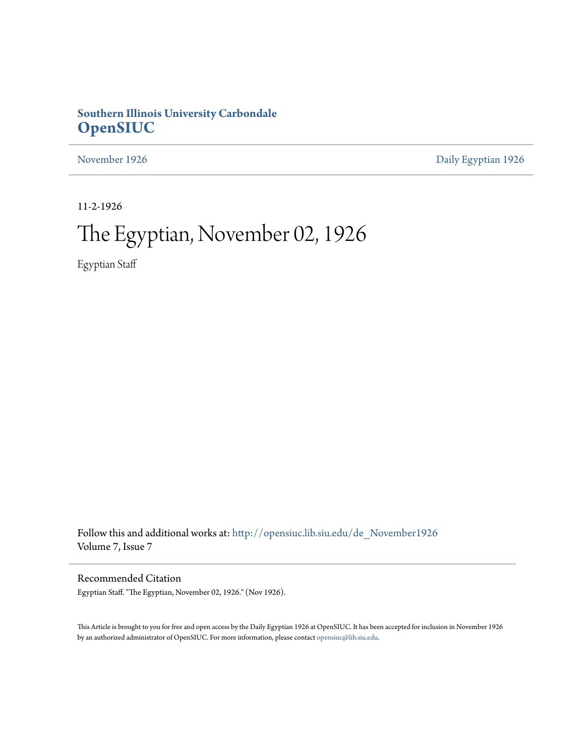## **Southern Illinois University Carbondale [OpenSIUC](http://opensiuc.lib.siu.edu?utm_source=opensiuc.lib.siu.edu%2Fde_November1926%2F5&utm_medium=PDF&utm_campaign=PDFCoverPages)**

[November 1926](http://opensiuc.lib.siu.edu/de_November1926?utm_source=opensiuc.lib.siu.edu%2Fde_November1926%2F5&utm_medium=PDF&utm_campaign=PDFCoverPages) [Daily Egyptian 1926](http://opensiuc.lib.siu.edu/de_1926?utm_source=opensiuc.lib.siu.edu%2Fde_November1926%2F5&utm_medium=PDF&utm_campaign=PDFCoverPages)

11-2-1926

# The Egyptian, November 02, 1926

Egyptian Staff

Follow this and additional works at: [http://opensiuc.lib.siu.edu/de\\_November1926](http://opensiuc.lib.siu.edu/de_November1926?utm_source=opensiuc.lib.siu.edu%2Fde_November1926%2F5&utm_medium=PDF&utm_campaign=PDFCoverPages) Volume 7, Issue 7

Recommended Citation

Egyptian Staff. "The Egyptian, November 02, 1926." (Nov 1926).

This Article is brought to you for free and open access by the Daily Egyptian 1926 at OpenSIUC. It has been accepted for inclusion in November 1926 by an authorized administrator of OpenSIUC. For more information, please contact [opensiuc@lib.siu.edu.](mailto:opensiuc@lib.siu.edu)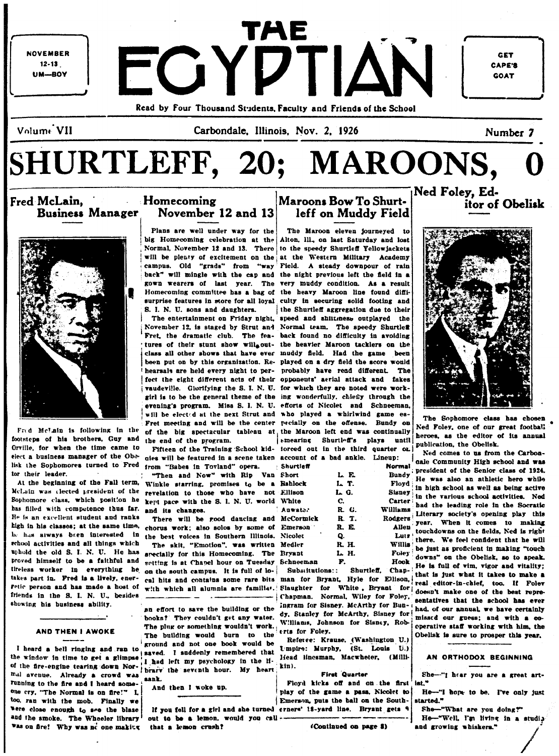**NOVEMBER**  $12 - 13$ **UM-BOY** 

ГАЕ FOYDTIAN Read by Four Thousand Students, Faculty and Friends of the School

GET **CAPE'S GOAT** 

Volume VII

Carbondale, Illinois, Nov. 2, 1926

itor of Obelisk

SHURTLEFF, 20; MAROONS,

Fred McLain. **Business Manager** 



Frid McLain is following in the footsteps of his brothers, Guy and Orville for when the time came to elect a business manager of the Obolisk the Sophomores turned to Fred from "Babes in Tovland" opera. tor their leader.

At the beginning of the Fall term, has filled with competence thus far. He is an excellent student and ranks he has always been interested in school activities and all things which uphold the old S. I. N. U. He has proved himself to be a faithful and tireless worker in everything he takes part in. Fred is a lively, ener-Fetic person and has made a host of friends in the S. I. N. U., besides showing his business ability.

### **AND THEN I AWOKE**

of the fire-engine tearing down Nor. I had left my psychology in the H- liead linesman, Macwheter, (Milli-<br>of the fire-engine tearing down Nor. I had left my psychology in the H- kin).<br>mal avenue. Already a crowd was running to the fire and I heard someone cry, "The Normal is on fire!" I. too, ran with the mob. Finally we were close enough to see the blaze Was on fire! Why was no one making that a lemon crush?

### **Homecoming** November 12 and 13

Plans are well under way for the S. I. N. U. sons and daughters.

the end of the program.

nies will be featured in a scene taken account of a bad ankle. Lineup: Shurtle

"Then and Now" with Rip Van Short Winkle starring, promises to be a Bshloch McLain was elected president of the revelation to those who have not Ellison Sophomore class, which position he kept pace with the S. I. N. U. world White and its changes.

There will be good dancing and McCori kigh in his classes; at the same time, chorus work; also solos by some of Emers the best voices in Southern Illinois. Nicolet

The skit, "Emotion", was written Medler specially for this Homecoming. The Bryant setting is at Chapel hour on Tuesday Schneer on the south campus. It is full of lo- Subsitutions:: Shurtleff. Chapcal hits and contains some rare bits man for Bryant, Hyle for Ellison, with which all alumnia are familiar. Slaughter for White, Bryant for  $\sim$   $-$ 

books? They couldn't get any water. dy. Stanley for McArthy, Sisney for The plus or something wouldn't work. Williams, Johnson for Sisney, Rob-<br>The plus or something wouldn't work. Williams, Johnson for Sisney, Rob-<br>The bu I heard a bell ringing and ran to ground and not one book would be Referee: Krause, (Washington U.)

And then I woke up.

If you fell for a girl and she turned erners' 18-yard line. Bryant gets 9 and the smoke. The Wheeler library out to be a lemon, would you call --

Ned Foley, Ed-Maroons Bow To Shurtleff on Muddy Field

The Maroon eleven journeyed to big Homecoming celebration at the Alton, Ill., on last Saturday and lost Normal, November 12 and 13. There to the speedy Shurtleff Yellowjackets will be plenty of excitement on the at the Western Military Academy campus. Old "grads" from "way Field. A steady downpour of rain back" will mingle with the cap and the night previous left the field in a gown wearers of last year. The very muddy condition. As a result Homecoming committee has a bag of the heavy Maroon line found diffisurprise features in store for all loyal culty in securing solid footing and the Shurtleff aggregation due to their The entertainment on Friday night, speed and shiltness outplayed the November 12, is staged by Strut and Normal team. The speedy Shurtles Fret, the dramatic club. The fea- back found no difficulty in avoiding tures of their stunt show willoout- the heavier Marcon tacklers on the class all other shows that have ever muddy field. Had the game been been put on by this organization. Re- played on a dry field the score would hearsals are held every night to per- probably have read different. The fect the eight different acts of their opponents' aerial attack and fakes vaudeville. Glorifying the S. I. N. U. for which they are noted were workgirl is to be the general theme of the ing wonderfully, chiefly through the evening's program. Miss S. I. N. U. efforts of Nicolet and Schneeman, will be elected at the next Strut and who played a whirlwind game es-Fret meeting and will be the center pecially on the offense. Bundy on of the big spectacular tableau at the Marcon left end was continually smearing Shurtleff's plays until Fifteen of the Training School kid- torced out in the third quarter on

| Shurtleff        |       | Norma         |
|------------------|-------|---------------|
| Short            | L E   | <b>Bundy</b>  |
| Bshlock          | L T.  | Floyd         |
| Ellison          | L G.  | <b>Sisney</b> |
| White            | c.    | Carter        |
| Auwate.          | R. G. | Williams      |
| McCormick        | R. T. | Rodgeri       |
| Emerson 1        | R. E. | Aller         |
| Nicolet          | Q.    | Luti          |
| Medler           | R. H. | Willia        |
| Bryant           | L H.  | Foley         |
| <b>Cabonaman</b> | m     | ロート           |

- Chapman. Normal, Wiley for Foley. an effort to save the building or the ingram for Sisney. McArthy for Bun-

Floyd kicks off and on the first play of the game a pass. Nicolet to Emerson, puts the ball on the South-

(Continued on page 8)



The Sophomore class has chosen Ned Foley, one of our great football heroes, as the editor of its annual publication, the Obelisk.

Ned comes to us from the Carboncale Community High school and was president of the Senior class of 1924. He was also an athletic hero while in high school as well as being active in the various school activities. Ned had the leading role in the Socratic Literary society's opening play this year. When it comes to making touchdowns on the fields, Ned is right there. We feel confident that he will be just as proficient in making "touch downs" on the Obelisk, so to speak. He is full of vim. vigor and vitality: that is just what it takes to make a real editor-in-chief, too. If Folev doesn't make one of the best representatives that the school has ever had, of our annual, we have certainly missed our guess; and with a cooperative staff working with him, the Obelisk is sure to prosper this year,

#### AN ORTHODOX BEGINNING

She-"I hear you are a great artist."

He-"I hope to be. I've only just started."

She-"What are you doing?" He-"Well, I'm living in a studio and growing whiskers."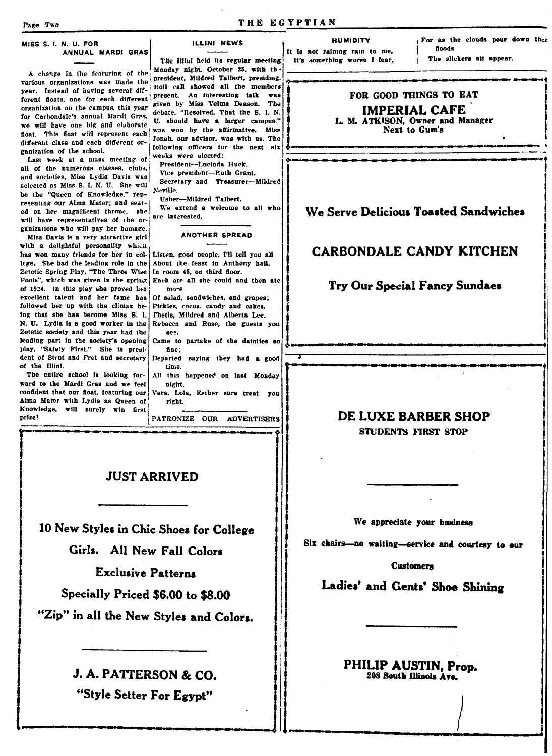#### MISS S. I. N. U. FOR ANNUAL MARDI GRAS

A change in the featuring of the various organizations was made the year. Instead of having several different floats, one for each different organization on the campus, this year for Carbondale's annual Mardi Gras, we will have one big and elaborate float. This float will represent each different class and each different organization of the school.

Last week at a mass meeting of all of the numerous classes, clubs. and societies, Miss Lydia Davis was selected as Miss S. I. N. U. She will be the "Queen of Knowledge." representing our Alma Mater: and seated on her magnificent throne, she will have representatives of the organizations who will pay her homage.

Miss Davis is a very attractive girl with a delightful personality which has won many friends for her in college. She had the leading role in the Zetetic Spring Play, "The Three Wise Fools", which was given in the spring of 1924. In this play she proved her excellent talent and her fame has followed her up with the climax heing that she has become Miss S. I. N. U. Lydia is a good worker in the Zetetic society and this year had the leading part in the society's opening play, "Safety First." She is president of Strut and Fret and secretary of the Illini.

The entire school is looking forward to the Mardi Gras and we feel confident that our float, featuring our Alma Mater with Lydia as Queen of Knowledge, will surely win first prize!

**ILLINI NEWS** 

The Illini held its regular meeting Monday night. October 25, with the president, Mildred Talbert, presidiug. Roll call showed all the members present. An interesting talk was given by Miss Velma Deason. The debate. "Resolved. That the S. I. N. U. should have a larger campus." was won hy the affirmative. Miss Jonah, our advisor, was with us. The following officers for the next six weeks were elected:

President-Lucinda Huck Vice president-Puth Grant.

Secretary and Treasurer-Mildred Neville. Usher-Mildred Talbert.

We extend a welcome to all who are interested.

#### **ANOTHER SPREAD**

Listen, good people, I'll tell you all About the feast in Anthony hall. In room 45, on third floor. Each ate all she could and then ate

more Of salad, sandwiches, and grapes: Pickles, cocoa, candy and cakes. Thetis, Mildred and Alberta Lee. Rebecca and Rose, the guests you

se3. Came to partake of the dainties so fine:

Departed saying they had a good time

All this happened on last Monday nieht. Vera, Lola, Esther sure treat you

right.

PATRONIZE OUR ADVERTISERS

### **JUST ARRIVED**

10 New Styles in Chic Shoes for College Girls. All New Fall Colors **Exclusive Patterns** Specially Priced \$6.00 to \$8.00

"Zip" in all the New Styles and Colors.

J. A. PATTERSON & CO. "Style Setter For Egypt"

#### **HUMIDITY**

It is not raining rain to me. It's something worse I fear,

THE EGYPTIAN

For as the clouds pour down ther floods

The slickers all appear.

### FOR GOOD THINGS TO EAT **IMPERIAL CAFE**

L. M. ATKISON, Owner and Manager Next to Gum's

### We Serve Delicious Toasted Sandwiches

### **CARBONDALE CANDY KITCHEN**

### Try Our Special Fancy Sundaes

### DE LUXE BARBER SHOP

**STUDENTS FIRST STOP** 

We appreciate your business

Six chairs-no waiting-service and courtesy to our

**Customers** 

Ladies' and Gents' Shoe Shining

PHILIP AUSTIN, Prop. 208 South Illinois Ave.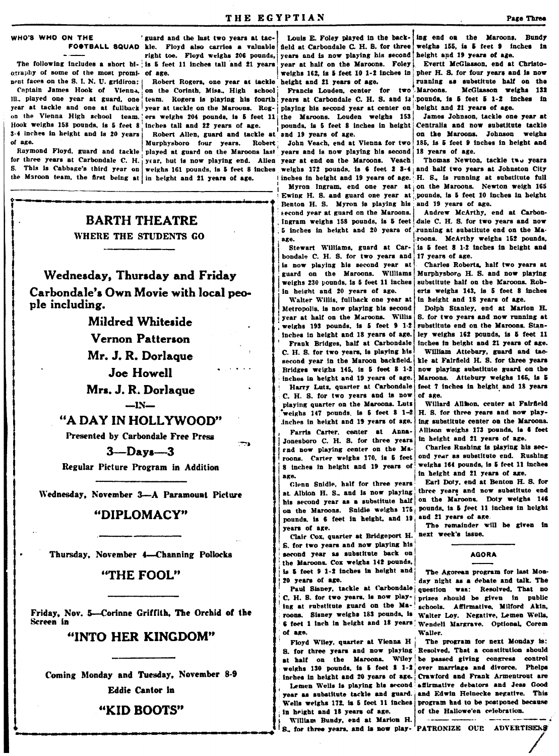## WHO'S WHO ON THE

The following includes a short bi- is 5 feet 11 inches tall and 21 years ography of some of the most promi- of age. neutral ces on the S. I. N. U. gridiron: Robert Rogers, one year at tackle<br>Captain James Hook of Vienna, on the Corinth, Miss., High school

III., played one year at guard, one team. Rogers is playing his fourth year at tackle and one at fullback year at tackle on the Maroons. Rog- playing his second year at center on on the Vienna High school team, ers weighs 204 pounds, is 5 feet 11 the Maroons. Louden weighs 153 Hook weighs 158 pounds, is 5 feet 8 inches tall and 22 years of age. 3-4 inches in height and is 20 years of age. Murphysboro four years.

Raymond Floyd, guard and tackle for three years at Carbondale C. H. year, but is now playing end. Allen year at end on the Maroons. Veach | Thomas Newton, tackle two years S. This is Cabbage's third year on weighs 161 pounds, is 5 feet 8 inches weighs 172 pounds, is 6 feet 2 3-4 and half two years at Johnston City the Maroon team, the first being at in height and 21 years of age.

**BARTH THEATRE** 

### WHERE THE STUDENTS GO

Wednesday, Thursday and Friday Carbondale's Own Movie with local people including.

> **Mildred Whiteside** Vernon Patterson Mr. J. R. Dorlaque

> > **Joe Howell**

Mrs. J. R. Dorlaque  $-IN-$ 

"A DAY IN HOLLYWOOD"

Presented by Carbondale Free Press

 $3 -$ Days  $-3$ 

ירדי

Regular Picture Program in Addition

Wednesday, November 3-A Paramount Picture

### "DIPLOMACY"

Thursday, November 4-Channing Pollocks

### "THE FOOL"

Friday, Nov. 5-Corinne Griffith, The Orchid of the Screen in

### "INTO HER KINGDOM"

Coming Monday and Tuesday, November 8-9 Eddie Cantor in

### "KID BOOTS"

' guard and the last two years at tac-FOOTBALL SQUAD kie. Floyd also carries a valuable field at Carbondale C. H. S. for three right toe. Floyd weighs 206 pounds, years and is now playing his second year at half on the Marcons. Foley weighs 162, is 5 feet 10 1-2 inches in Robert Rogers, one year at tackle height and 21 years of age.

> Francis Louden, center for two pounds, is 5 feet 8 inches in height Robert Allen, guard and tackle at and 19 years of age.

Robert : John Veach, end at Vienna for two played at guard on the Marcons last years and is now playing his second 18 years of age. inches in height and 19 years of age. H. S., is running at substitute full

> Benton H. S. Myron is playing his second year at guard on the Maroons. Ingram weighs 158 pounds, is 5 feet 5 inches in height and 20 years of running at substitute end on the Maage.

Stewart Williams, guard at Carbondale C. H. S. for two years and is now playing his second year at guard on the Maroons. Williams weighs 230 pounds, is 5 feet 11 inches in height and 20 years of age.

Walter Willis, fullback one year at Metropolis, is now playing his second year at half on the Marcons. Willis weighs 193 pounds, is 5 feet 9 1-2 inches in height and 18 years of age. Frank Bridges, half at Carbondale C. H. S. for two years, is playing his second year in the Maroon backfield. Bridges weighs 145, is 5 feet 8 1-2 inches in height and 19 years of age.

Harry Lutz, quarter at Carbondale C. H. S. for two years and is now playing quarter on the Maroons. Luts weighs  $147$  pounds, is  $5$  feet  $8$   $1-2$ inches in height and 19 years of age.

Farris Carter, center at Anna-Jonesboro C. H. S. for three years and now playing center on the Maroons. Carter weighs 170, is 5 feet 8 inches in height and 19 years of age.

Glenn Snidle, half for three years at Albion H. S., and is now playing his second year as a substitute half on the Maroons. Snidle weighs 175 pounds, is 6 feet in height, and 19 vears of age.

Clair Cox, quarter at Bridgeport H. S. for two years and now playing his second year as substitute back on the Marcons. Cox weighs 142 pounds. is 5 feet 9 1-2 inches in height and 20 years of age.

Paul Sisney, tackle at Carbondale C. H. S. for two years, is now playing at rubstitute guard on the Maroons. Sisney weighs 183 pounds, is 6 feet 1 inch in height and 18 years Wendell Margrave. Optional, Corem of age.

Floyd Wiley, quarter at Vienna H S. for three years and now playing at half on the Marcons. Wiley inches in height and 20 years of age. Wells weighs 172, is 5 feet 11 inches

in height and 18 years of age. William Bundy, end at Marion H.

S., for three years, and is now play-'PATRONIZE OUP. ADVERTISERS

Louis E. Foley played in the back- ing end on the Marcons. Bundy weighs 155, is 5 feet 9 inches in height and 19 years of age.

Evertt McGlasson, end at Christopher H. S. for four years and is now running as substitute half on the Maroons. McGlasson weighs 132 years at Carbondale C. H. S. and is pounds, is 5 feet 5 1-2 inches in height and 21 years of age.

> James Johnson, tackle one year at Centralia and now substitute tackle on the Marcons. Johnson weighs 185, is 5 feet 9 inches in height and

Myron Ingram, end one year at on the Marcons. Newton weigh 165 Ewing H. S. and guard one year at pounds, is 5 feet 10 inches in height and 19 years of age.

> Andrew McArthy, end at Carbondale C. H. S. for two years and now roons. McArthy weighs 152 pounds, is 5 feet 8 1-2 inches in height and 17 years of age.

Charles Roberts, half two years at Murphysboro H. S. and now playing substitute half on the Maroons. Roberts weighs 143, is 5 feet 8 inches in height and 18 years of age.

Dolph Stanley, end at Marion H. S. for two years and now running at substitute end on the Maroons. Stanlev weighs 162 pounds, is 5 feet 11 inches in height and 21 years of age.

William Attebury, guard and tackle at Fairfield H. S. for three years now playing substitute guard on the Maroons. Attebury weighs 165, is 5 feet 7 inches in height and 18 years of age.

Willard Allmon, center at Fairfield H. S. for three vears and now playing substitute center on the Maroons. Allison weighs 173 pounds, is 6 feet in height and 21 years of age.

Charles Rushing is playing his second year as substitute end. Rushing weighs 164 pounds, is 5 feet 11 inches in height and 21 years of age.

Earl Doty, end at Benton H. S. for three years and now substitute end on the Marcons. Doty weighs 146 pounds, is 5 feet 11 inches in height and 21 years of age.

The remainder will be given in next week's issue.

#### **AGORA**

The Agorean program for last Monday night as a debate and talk. The question was: Resolved. That no prizes should be given in public schools. Affirmative, Milford Akin, Walter Loy. Negative, Lemen Wells, Waller.

The program for next Monday is: Resolved, That a constitution should be passed giving congress control weighs 130 pounds, is 5 feet 8 1-2 over marriage and divorce. Phelps Crawford and Frank Armentrout are Lemen Wells is playing his second affirmative debators and Jess Good year as substitute tackle and guard. and Edwin Heinecke negative. This program had to be postponed because of the Hallowe'en celebration.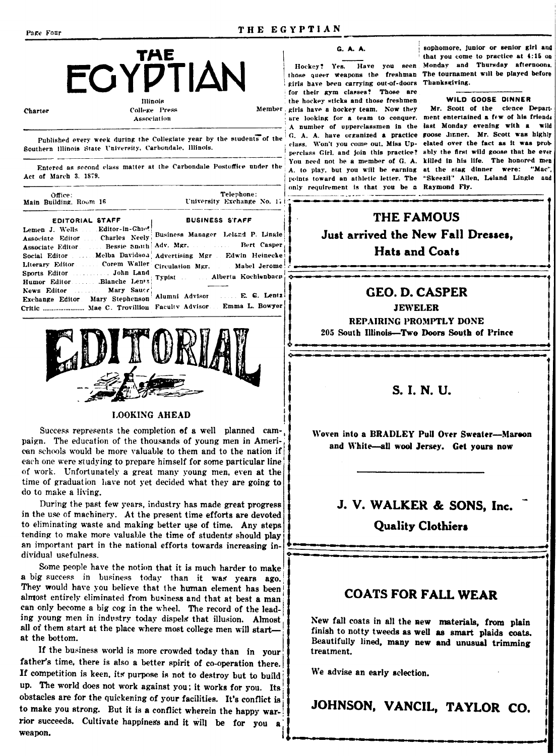

**Charter** 

College Press Association

Published every week during the Collegiate year by the students of the  $G$ . A. A. have organized a practice goose dinner. Mr. Scott was highly Southern Illinois State University, Carbondale, Illinois.

Entered as second class matter at the Carbondale Postoffice under the Act of March 3. 1879.

| Office:<br>Main Building, Room 16                                                                                          | Telephone:<br>University Exchange No. 171                                                                                                                                                                                                                                                                                                                                                  |  |
|----------------------------------------------------------------------------------------------------------------------------|--------------------------------------------------------------------------------------------------------------------------------------------------------------------------------------------------------------------------------------------------------------------------------------------------------------------------------------------------------------------------------------------|--|
| EDITORIAL STAFF                                                                                                            | <b>BUSINESS STAFF</b>                                                                                                                                                                                                                                                                                                                                                                      |  |
| Lemen J. Wells  Editor-in-Ghie!<br>Humor EditorBlanche Lentz<br>News Editor  Mary Saucr<br>Exchange Editor Mary Stephenson | Associate Editor  Charles Neely Business Manager Leland P. Lingle<br>Associate Editor.  Bessie Smith Adv. Mgr.  Bert Casper<br>Social Editor  Melba Davidson Advertising Mgr  Edwin Heinecke i<br>Literary Editor.  Corem Waller Circulation Mgr.  Mabel Jerome!<br>Typist  Alberta Kochlenbacn<br>Alumni Advisor  E. G. Lentz<br>Critic  Mae C. Trovillion Faculty Advisor Emma L. Bowyer |  |



### **LOOKING AHEAD**

Success represents the completion of a well planned campaign. The education of the thousands of young men in American schools would be more valuable to them and to the nation if each one were studying to prepare himself for some particular line of work. Unfortunately a great many young men, even at the time of graduation have not yet decided what they are going to do to make a living.

During the past few years, industry has made great progress in the use of machinery. At the present time efforts are devoted to eliminating waste and making better use of time. Any steps tending to make more valuable the time of students should play an important part in the national efforts towards increasing individual usefulness.

Some people have the notion that it is much harder to make a big success in business today than it was years ago. They would have you believe that the human element has been almost entirely eliminated from business and that at best a man can only become a big cog in the wheel. The record of the leading young men in industry today dispels that illusion. Almost all of them start at the place where most college men will startat the bottom.

If the business world is more crowded today than in your father's time, there is also a better spirit of co-operation there. If competition is keen, its purpose is not to destroy but to build up. The world does not work against you; it works for you. Its obstacles are for the quickening of your facilities. It's conflict is to make you strong. But it is a conflict wherein the happy warrior succeeds. Cultivate happiness and it will be for you a weapon.



Hockey? Yes. Have you seen those queer weapons the freshman girls have been carrying out-of-doors Thanksgiving. for their gym classes? Those are the hockey sticks and those freshmen Member girls have a hockey team. Now they are looking for a team to conquer. ment entertained a few of his friends A number of upperclassmen in the last Monday evening with a wild class. Won't you come out, Miss Up- elated over the fact as it was probperclass Girl, and join this practice? ably the first wild goose that he ever You need not be a member of G. A. killed in his life. The honored men A. to play, but you will be earning at the stag dinner were: "Mac", points toward an athletic letter. The "Skeezil" Allen, Leland Lingle and only requirement is that you be a Raymond Fly.  $-$  .  $-$ 

sophomore, junior or senior girl and that you come to practice at 4:15 on Monday and Thursday afternoons. The tournament will be played before

#### WILD GOOSE DINNER

Mr. Scott of the cience Depart-

THE FAMOUS Just arrived the New Fall Dresses. **Hats and Coats** 

### **GEO. D. CASPER**

**JEWELER** 

REPAIRING PROMPTLY DONE 205 South Illinois-Two Doors South of Prince

### S. I. N. U.

Woven into a BRADLEY Pull Over Sweater-Mareon and White-all wool Jersey. Get yours now

## J. V. WALKER & SONS, Inc.

**Quality Clothiers** 

### **COATS FOR FALL WEAR**

New fall coats in all the new materials, from plain finish to notty tweeds as well as smart plaids coats. Beautifully lined, many new and unusual trimming treatment.

We advise an early sclection.

JOHNSON, VANCIL, TAYLOR CO.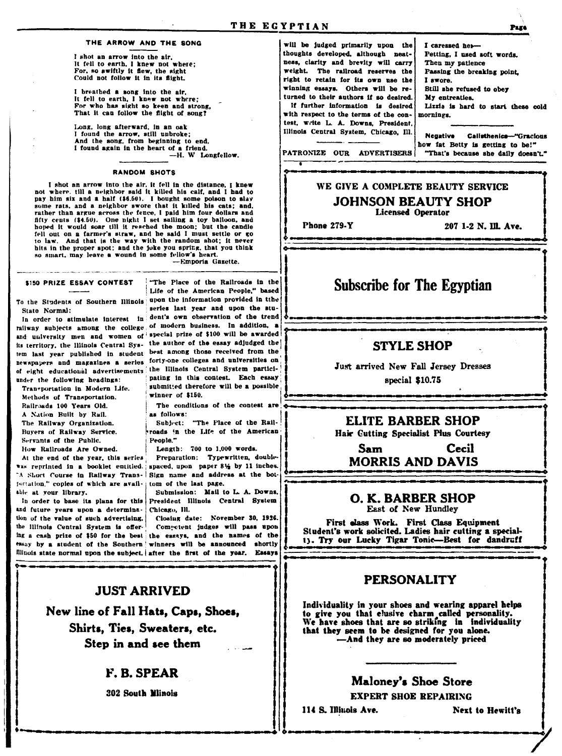#### THE ARROW AND THE SONG

I shot an arrow into the air, It fell to earth, I knew not where;<br>For, so swiftly it flew, the sight Could not follow it in its flight.

I breathed a song into the air, It fell to earth, I knew not where;<br>For who has sight so keen and strong. That it can follow the flight of song?

Long, long afterward, in an oak I found the arrow, still unbroke;<br>And the song, from beginning to end, I found again in the heart of a friend. -H. W Longfellow.

#### RANDOM SHOTS

I shot an arrow into the air, it fell in the distance, I knew not where, till a neighbor said it killed his calf, and I had to pay him six and a half (\$6.50). I bought some polson to slav some rats, and a neighbor swore that it killed his cats; and, rather than argue across the fence, I paid him four dollars and fifty cents (\$4.50). One night I set sailing a toy balloon, and hoped it would soar till it reached the moon; but the candle fell out on a farmer's straw, and he said I must settle or go to law. And that is the way with the random shot; it never hits in the proper spot; and the joke you spring, that you think so smart, may leave a wound in some fellow's heart.

-Emporia Gazette.

#### \$150 PRIZE ESSAY CONTEST

State Normal:

under the following headings:

Transportation in Modern Life. Methods of Transportation. Railroads 100 Years Old. A Nation Built by Rail. The Railway Organization. Buvers of Railway Service. Servants of the Public, How Railroads Are Owned.

At the end of the year, this series fortation," copies of which are avail-; tom of the last page. able at your library.

and future years upon a determina- Chicago, Ill. tion of the value of such advertising. the Illinois Central System is offer.

"The Place of the Railroads in the Life of the American People," based To the Students of Southern Illinois upon the information provided in tthe series last year and upon the stu-In order to stimulate interest in dent's own observation of the trend railway subjects among the college of modern business. In addition, a and university men and women of special prize of \$100 will be awarded its territory, the Illinois Central Sys- the author of the essay adjudged the tem last year published in student best among those received from the newspapers and magazines a series forty-one colleges and universities on of eight educational advertisements the Illinois Central System participating in this contest. Each essay submitted therefore will be a possible winner of \$150.

> The conditions of the contest are as follows:

Subject: "The Place of the Railroads in the Life of the American People."

Length: 700 to 1,000 words.

Preparation: Typewritten, doublewas reprinted in a booklet entitled. apaced, upon paper 81/2 by 11 inches. A Short Course in Railway Trans- Sign name and address at the bot-

Submission: Mail to L. A. Downs, In order to base its plans for this President Illinois Central System

Closing date: November 30, 1926. Competent judges will pass upon ing a cash prize of \$50 for the best the essays, and the names of the essay by a student of the Southern winners will be announced shortly fillnois state normal upon the subject, after the first of the year. Essays

> **JUST ARRIVED** New line of Fall Hats, Caps, Shoes, Shirts, Ties, Sweaters, etc. Step in and see them

### **F. B. SPEAR**

**302 South Mlinois** 

will be judged primarily upon the thoughts developed, although neatness, clarity and brevity will carry weight. The railroad reserves the right to retain for its own use the winning essays. Others will be returned to their authors if so desired. If further information is desired with respect to the terms of the contest, write L. A. Downs, President, Illinois Central System, Chicago, Ill.

I caressed her-Petting, I used soft words. Then my patience Passing the breaking point, I swore. Still she refused to obey My entreaties. Lizzia is hard to start these cold mornings.

**Negative** Callsthenics-"Gracious how fat Betty is getting to be!" "That's because she daily doesn't."

PATRONIZE OUR ADVERTISERS

### WE GIVE A COMPLETE BEAUTY SERVICE **JOHNSON BEAUTY SHOP Licensed Operator**

Phone 279-Y

207 1-2 N. Ill. Ave.

### **Subscribe for The Egyptian**

### **STYLE SHOP**

Just arrived New Fall Jersey Dresses special \$10.75

### ELITE BARBER SHOP

Hair Cutting Specialist Plus Courtesy

#### **Sam** Cecil **MORRIS AND DAVIS**

O. K. BARBER SHOP East of New Hundley

First class Work. First Class Equipment Student's work solicited. Ladies hair cutting a specialty. Try our Lucky Tigar Tonic-Best for dandruff

### **PERSONALITY**

Individuality in your shoes and wearing apparel helps to give you that clusive charm called personality.<br>We have shoes that are so striking in individuality that they seem to be designed for you alone. -And they are so moderately priced

### Maloney's Shoe Store **EXPERT SHOE REPAIRING**

114 S. Illinois Ave.

**Next to Hewitt's** 

Page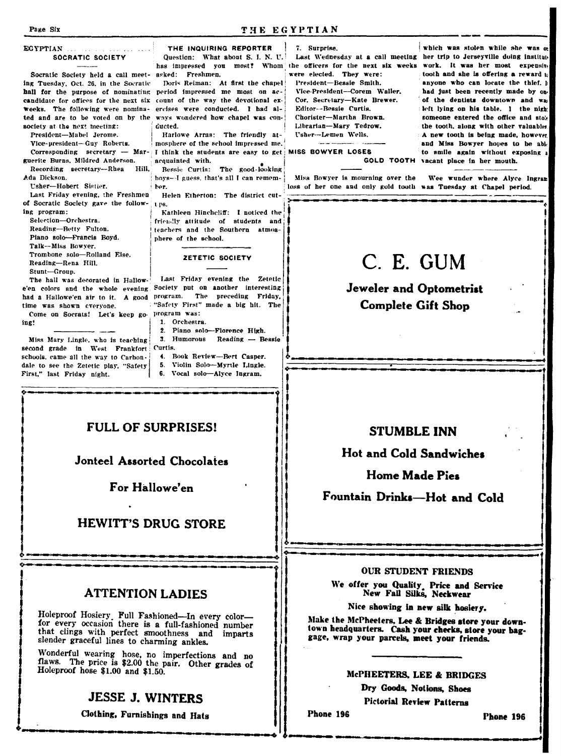Page Six

#### **EGYPTIAN** SOCRATIC SOCIETY

Socratic Society held a call meet- asked: Freshmen. ing Tuesday. Oct. 26, in the Socratic hall for the purpose of nominating period impressed me most on accandidate for offices for the next six count of the way the devotional exweeks. The following were nominated and are to be voted on by the society at the next meeting: President-Mabel Jerome.

Vice-president-Guy Roberts. Corresponding secretary - Marguerite Burns, Mildred Anderson.

Recording secretary-Rhea Hill. Ada Dickson.

Usher-Hobert Sistier.

Last Friday evening, the Freshmen of Socratic Society gave the follow- 1 ps. ing program:

Selection-Orchestra. Reading-Betty Fulton. Piano solo-Francis Boyd. Talk--Miss Bowver. Trombone solo-Rolland Eise. Reading-Rena Hill

Stunt-Group. The hall was decorated in Hallow-

time was shown everyone. Come on Socrats! Let's keep go program was: ing!

Miss Mary Lingle, who is teaching second grade in West Frankfort Curtis. schools, came all the way to Carbondale to see the Zetetic play, "Safety First," last Friday night.

THE INQUIRING REPORTER Question: What about S. I. N. U.

Doris Reiman: At first the chapel ercises were conducted. 1 had always wondered how chapel was con-

Harlowe Arras: The friendly atmosphere of the school impressed me. I think the students are easy to get acquainted with.

Bessie Curtis: The good-looking hoys-I guess, that's all I can remember.

Helen Etherton: The district cut-

Kathleen Hinchcliff: I noticed the friendly attitude of students and teachers and the Southern atmosphere of the school.

#### ZETETIC SOCIETY

Last Friday evening the Zetetic e'en colors and the whole evening Society put on another interesting had a Hallowe'en air to it. A good program. The preceding Friday, "Safety First" made a big hit. The

- 1. Orchestra.
- 2. Piano solo-Florence High. 3. Humorous Reading - Bessie
- 4. Book Review-Bert Casner.
- 5. Violin Solo-Myrtle Lingle.
- 6. Vocal solo-Alyce Jugram.

## **FULL OF SURPRISES!**

### Jonteel Assorted Chocolates

For Hallowe'en

### **HEWITT'S DRUG STORE**

### **ATTENTION LADIES**

Holeproof Hosiery Full Fashioned-In every color-<br>for every occasion there is a full-fashioned number that clings with perfect smoothness and imparts slender graceful lines to charming ankles.

Wonderful wearing hose, no imperfections and no<br>flaws. The price is \$2.00 the pair. Other grades of Holeproof hose \$1.00 and \$1.50.

### **JESSE J. WINTERS**

Clothing, Furnishings and Hats

7. Surprise.

were elected. They were: President-Bessie Smith.

Vice-President-Corem Waller. Cor. Secretary-Kate Brewer. Editor-Bessie Curtis. Chorister-Martha Brown. Librarian-Mary Tedrow. Usher-Lemen Wells.

**MISS BOWYER LOSES** 

Miss Bowyer is mourning over the loss of her one and only gold tooth was Tuesday at Chapel period.

which was stolen while she was a Last Wednesday at a call meeting her trip to Jerseyville doing institute has impressed you most? Whom the officers for the next six weeks work. It was her most expensive tooth and she is offering a reward to anyone who can locate the thief. In had just been recently made by onof the dentists downtown and was left lying on his table. 1 the night someone entered the office and stok the tooth, along with other valuables. A new tooth is being made, however and Miss Rowver houes to be able to smile again without exposing a GOLD TOOTH vacant place in her mouth.

Wee wunder where Alyce Ingran

# C. E. GUM

**Jeweler and Optometrist Complete Gift Shop** 

### **STUMBLE INN**

**Hot and Cold Sandwiches** 

**Home Made Pies** 

Fountain Drinks-Hot and Cold

#### **OUR STUDENT FRIENDS**

We offer you Quality, Price and Service<br>New Fall Silks, Neckwear

Nice showing in new silk hosiery.

Make the McPheeters, Lee & Bridges store your downtown headquarters. Cash your checks, store your baggage, wrap your parcels, meet your friends.

### McPHEETERS, LEE & BRIDGES

Dry Goods, Notions, Shoes **Pictorial Review Patterns** 

Phone 196

Phone 196

#### THE EGYPTIAN

**Gueted**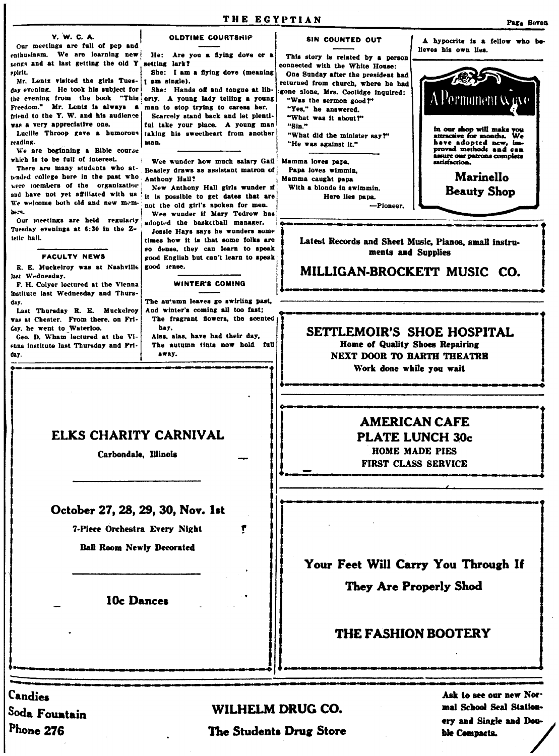"Sin."

Y. W. C. A. Our meetings are full of pep and

enthusiasm. We are learning new songs and at last getting the old Y spirit. Mr. Lentz visited the girls Tues-

day evening. He took his subject for the evening from the book "This erty. A young lady telling a young Freedom." Mr. Lentz is always a friend to the Y. W. and his audience was a very appreciative one.

reading.

We are beginning a Bible course which is to be full of interest.

There are many students who attended college here in the past who were members of the organization and have not yet affiliated with us We welcome both old and new members.

Our meetings are held regularly Tuesday evenings at 6:30 in the Ztetic hall.

#### **FACULTY NEWS**

R. E. Muckelroy was at Nashville last Wednesday.

F. H. Colyer lectured at the Vienna institute last Wednesday and Thursday.

Last Thursday R. E. Muckelroy was at Chester. From there, on Friday, he went to Waterloo.

Geo. D. Wham lectured at the Vienna institute last Thursday and Fridav.

Candies

Soda Fountain

Phone 276

He: Are you a flying dove or a setting lark? She: I am a fiving dove (meaning

OLDTIME COURTSHIP

I am single). She: Hands off and tongue at lib-

man to stop trying to caresa her. Scarcely stand back and let plentl-

ful take your place. A young man Lucille Throop gave a humorous taking his sweetheart from another man.

> Wee wunder how much salary Gail **Beasley draws as assistant matron of** Anthony Hall?

New Anthony Hall girls wunder if it is possible to get dates that are not the old girl's spoken for men. Wee wunder if Mary Tedrow has

adopted the basketball manager. Jessie Hays says he wunders some

times how it is that some folks are so dense, they can learn to speak good English but can't learn to speak good sense.

#### **WINTER'S COMING**

The au'umn leaves go swirling past. And winter's coming all too fast; The fragrant flowers, the scented hay.

Alas, alas, have had their day, The autumn tints now hold full sway.

## ELKS CHARITY CARNIVAL

Carbondale. Illinois

### October 27, 28, 29, 30, Nov. 1st

7-Piece Orchestra Every Night

**Ball Room Newly Decorated** 

### 10c Dances

# **AMERICAN CAFE PLATE LUNCH 30c**

HOME MADE PIES **FIRST CLASS SERVICE** 

Your Feet Will Carry You Through If They Are Properly Shod

### **THE FASHION BOOTERY**

WILHELM DRUG CO.

۴

The Students Drug Store

Ask to see our new Normal School Seal Stationery and Single and Double Compacts.



Latest Records and Sheet Music, Pianos, small instruments and Supplies

MILLIGAN-BROCKETT MUSIC CO.

### SETTLEMOIR'S SHOE HOSPITAL Home of Quality Shoes Repairing

NEXT DOOR TO BARTH THEATRE Work done while you wait